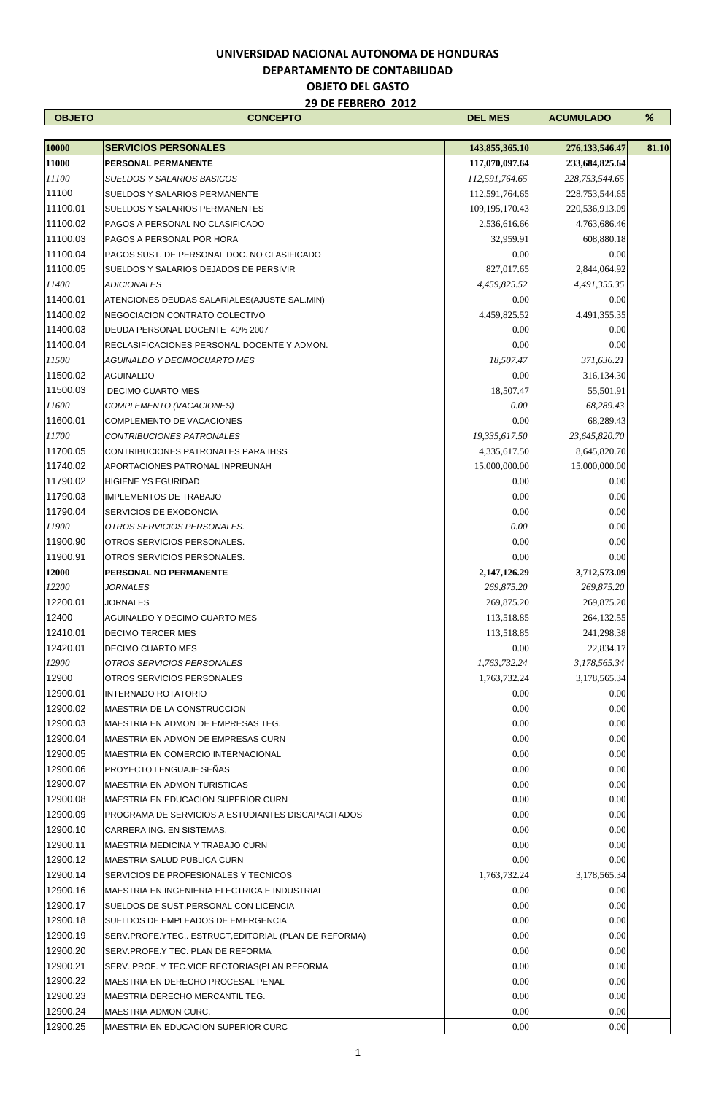| <b>OBJETO</b>  | <b>CONCEPTO</b>                                      | <b>DEL MES</b>                   | <b>ACUMULADO</b>                    | %     |
|----------------|------------------------------------------------------|----------------------------------|-------------------------------------|-------|
|                |                                                      |                                  |                                     |       |
| 10000<br>11000 | <b>SERVICIOS PERSONALES</b><br>PERSONAL PERMANENTE   | 143,855,365.10<br>117,070,097.64 | 276, 133, 546. 47<br>233,684,825.64 | 81.10 |
| 11100          | <b>SUELDOS Y SALARIOS BASICOS</b>                    | 112,591,764.65                   | 228,753,544.65                      |       |
| 11100          | <b>SUELDOS Y SALARIOS PERMANENTE</b>                 | 112,591,764.65                   | 228,753,544.65                      |       |
| 11100.01       | <b>SUELDOS Y SALARIOS PERMANENTES</b>                | 109, 195, 170. 43                | 220,536,913.09                      |       |
| 11100.02       | PAGOS A PERSONAL NO CLASIFICADO                      | 2,536,616.66                     | 4,763,686.46                        |       |
| 11100.03       | PAGOS A PERSONAL POR HORA                            | 32,959.91                        | 608,880.18                          |       |
| 11100.04       | PAGOS SUST. DE PERSONAL DOC. NO CLASIFICADO          | 0.00                             | 0.00                                |       |
| 11100.05       | SUELDOS Y SALARIOS DEJADOS DE PERSIVIR               | 827,017.65                       | 2,844,064.92                        |       |
| 11400          | <b>ADICIONALES</b>                                   | 4,459,825.52                     | 4,491,355.35                        |       |
| 11400.01       | ATENCIONES DEUDAS SALARIALES (AJUSTE SAL.MIN)        | 0.00                             | 0.00                                |       |
| 11400.02       | NEGOCIACION CONTRATO COLECTIVO                       | 4,459,825.52                     | 4,491,355.35                        |       |
| 11400.03       | DEUDA PERSONAL DOCENTE 40% 2007                      | 0.00                             | 0.00                                |       |
| 11400.04       | RECLASIFICACIONES PERSONAL DOCENTE Y ADMON.          | 0.00                             | 0.00                                |       |
| 11500          | <b>AGUINALDO Y DECIMOCUARTO MES</b>                  | 18,507.47                        | 371,636.21                          |       |
| 11500.02       | <b>AGUINALDO</b>                                     | 0.00                             | 316,134.30                          |       |
| 11500.03       | <b>DECIMO CUARTO MES</b>                             | 18,507.47                        | 55,501.91                           |       |
| 11600          | COMPLEMENTO (VACACIONES)                             | 0.00                             | 68,289.43                           |       |
| 11600.01       | COMPLEMENTO DE VACACIONES                            | 0.00                             | 68,289.43                           |       |
| 11700          | <b>CONTRIBUCIONES PATRONALES</b>                     | 19,335,617.50                    | 23,645,820.70                       |       |
| 11700.05       | CONTRIBUCIONES PATRONALES PARA IHSS                  | 4,335,617.50                     | 8,645,820.70                        |       |
| 11740.02       | APORTACIONES PATRONAL INPREUNAH                      | 15,000,000.00                    | 15,000,000.00                       |       |
| 11790.02       | <b>HIGIENE YS EGURIDAD</b>                           | 0.00                             | 0.00                                |       |
| 11790.03       | <b>IMPLEMENTOS DE TRABAJO</b>                        | 0.00                             | 0.00                                |       |
| 11790.04       | SERVICIOS DE EXODONCIA                               | 0.00                             | 0.00                                |       |
| 11900          | OTROS SERVICIOS PERSONALES.                          | 0.00                             | 0.00                                |       |
| 11900.90       | OTROS SERVICIOS PERSONALES.                          | 0.00                             | 0.00                                |       |
| 11900.91       | OTROS SERVICIOS PERSONALES.                          | 0.00                             | 0.00                                |       |
| 12000          | PERSONAL NO PERMANENTE                               | 2,147,126.29                     | 3,712,573.09                        |       |
| 12200          | <b>JORNALES</b>                                      | 269,875.20                       | 269,875.20                          |       |
| 12200.01       | <b>JORNALES</b>                                      | 269,875.20                       | 269,875.20                          |       |
| 12400          | AGUINALDO Y DECIMO CUARTO MES                        | 113,518.85                       | 264,132.55                          |       |
| 12410.01       | <b>DECIMO TERCER MES</b>                             | 113,518.85                       | 241,298.38                          |       |
| 12420.01       | <b>DECIMO CUARTO MES</b>                             | 0.00                             | 22,834.17                           |       |
| 12900          | OTROS SERVICIOS PERSONALES                           | 1,763,732.24                     | 3,178,565.34                        |       |
| 12900          | OTROS SERVICIOS PERSONALES                           | 1,763,732.24                     | 3,178,565.34                        |       |
| 12900.01       | <b>INTERNADO ROTATORIO</b>                           | 0.00                             | 0.00                                |       |
| 12900.02       | MAESTRIA DE LA CONSTRUCCION                          | 0.00                             | 0.00                                |       |
| 12900.03       | MAESTRIA EN ADMON DE EMPRESAS TEG.                   | 0.00                             | 0.00                                |       |
| 12900.04       | MAESTRIA EN ADMON DE EMPRESAS CURN                   | 0.00                             | 0.00                                |       |
| 12900.05       | <b>MAESTRIA EN COMERCIO INTERNACIONAL</b>            | 0.00                             | 0.00                                |       |
| 12900.06       | PROYECTO LENGUAJE SEÑAS                              | 0.00                             | 0.00                                |       |
| 12900.07       | <b>MAESTRIA EN ADMON TURISTICAS</b>                  | 0.00                             | 0.00                                |       |
| 12900.08       | <b>IMAESTRIA EN EDUCACION SUPERIOR CURN</b>          | 0.00                             | 0.00                                |       |
| 12900.09       | PROGRAMA DE SERVICIOS A ESTUDIANTES DISCAPACITADOS   | 0.00                             | 0.00                                |       |
| 12900.10       | CARRERA ING. EN SISTEMAS.                            | 0.00                             | 0.00                                |       |
| 12900.11       | MAESTRIA MEDICINA Y TRABAJO CURN                     | 0.00                             | 0.00                                |       |
| 12900.12       | MAESTRIA SALUD PUBLICA CURN                          | 0.00                             | 0.00                                |       |
| 12900.14       | SERVICIOS DE PROFESIONALES Y TECNICOS                | 1,763,732.24                     | 3,178,565.34                        |       |
| 12900.16       | MAESTRIA EN INGENIERIA ELECTRICA E INDUSTRIAL        | 0.00                             | 0.00                                |       |
| 12900.17       | SUELDOS DE SUST PERSONAL CON LICENCIA                | 0.00                             | 0.00                                |       |
| 12900.18       | SUELDOS DE EMPLEADOS DE EMERGENCIA                   | 0.00                             | 0.00                                |       |
| 12900.19       | SERV.PROFE.YTEC ESTRUCT, EDITORIAL (PLAN DE REFORMA) | 0.00                             | 0.00                                |       |
| 12900.20       | SERV.PROFE.Y TEC. PLAN DE REFORMA                    | 0.00                             | 0.00                                |       |
| 12900.21       | SERV. PROF. Y TEC.VICE RECTORIAS (PLAN REFORMA       | 0.00                             | 0.00                                |       |
| 12900.22       | <b>IMAESTRIA EN DERECHO PROCESAL PENAL</b>           | 0.00                             | 0.00                                |       |
| 12900.23       | MAESTRIA DERECHO MERCANTIL TEG.                      | 0.00                             | 0.00                                |       |
| 12900.24       | MAESTRIA ADMON CURC.                                 | 0.00                             | 0.00                                |       |
| 12900.25       | MAESTRIA EN EDUCACION SUPERIOR CURC                  | 0.00                             | 0.00                                |       |
|                |                                                      |                                  |                                     |       |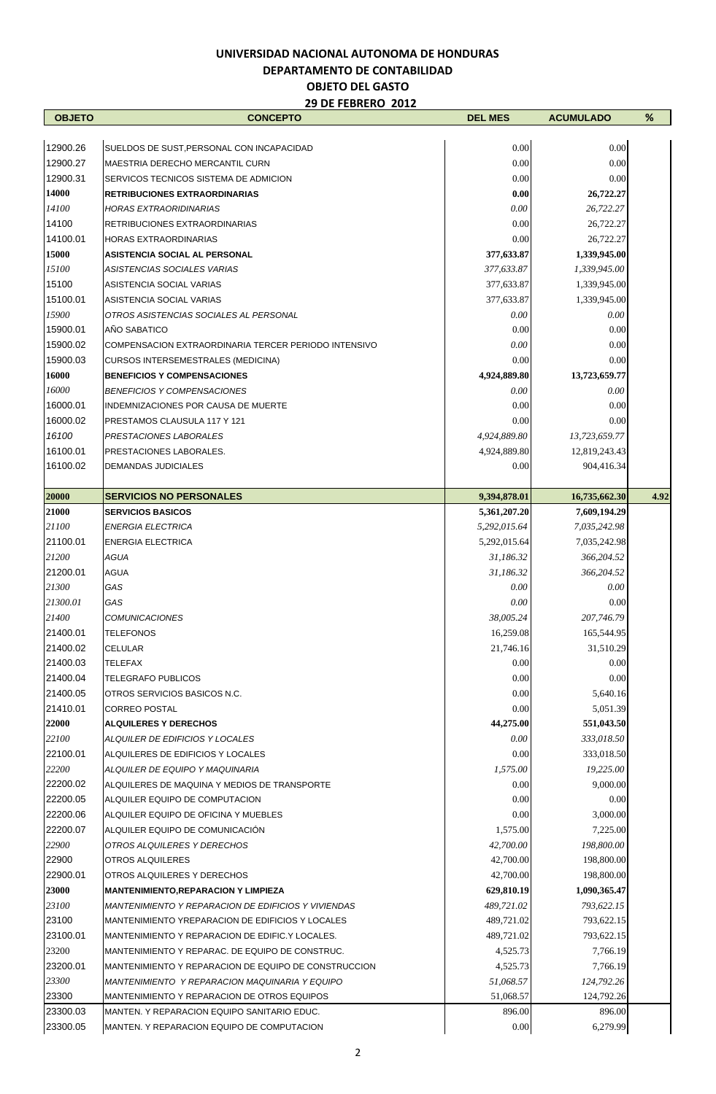## **UNIVERSIDAD NACIONAL AUTONOMA DE HONDURAS**

# **DEPARTAMENTO DE CONTABILIDAD**

#### **OBJETO DEL GASTO 29 DE FEBRERO 2012**

| <b>OBJETO</b>  | ZY DE FEBREKU ZUIZ<br><b>CONCEPTO</b>                 | <b>DEL MES</b>               | <b>ACUMULADO</b>              | $\%$ |
|----------------|-------------------------------------------------------|------------------------------|-------------------------------|------|
|                |                                                       |                              |                               |      |
| 12900.26       | SUELDOS DE SUST, PERSONAL CON INCAPACIDAD             | 0.00                         | 0.00                          |      |
| 12900.27       | MAESTRIA DERECHO MERCANTIL CURN                       | 0.00                         | 0.00                          |      |
| 12900.31       | SERVICOS TECNICOS SISTEMA DE ADMICION                 | 0.00                         | 0.00                          |      |
| 14000          | <b>RETRIBUCIONES EXTRAORDINARIAS</b>                  | 0.00                         | 26,722.27                     |      |
| 14100          | <b>HORAS EXTRAORIDINARIAS</b>                         | 0.00                         | 26,722.27                     |      |
| 14100          | RETRIBUCIONES EXTRAORDINARIAS                         | 0.00                         | 26,722.27                     |      |
| 14100.01       | <b>HORAS EXTRAORDINARIAS</b>                          | 0.00                         | 26,722.27                     |      |
| 15000          | <b>ASISTENCIA SOCIAL AL PERSONAL</b>                  | 377,633.87                   | 1,339,945.00                  |      |
| 15100          | <b>ASISTENCIAS SOCIALES VARIAS</b>                    | 377,633.87                   | 1,339,945.00                  |      |
| 15100          | ASISTENCIA SOCIAL VARIAS                              | 377,633.87                   | 1,339,945.00                  |      |
| 15100.01       | ASISTENCIA SOCIAL VARIAS                              | 377,633.87                   | 1,339,945.00                  |      |
| 15900          | OTROS ASISTENCIAS SOCIALES AL PERSONAL                | 0.00                         | 0.00                          |      |
| 15900.01       | AÑO SABATICO                                          | 0.00                         | 0.00                          |      |
| 15900.02       | COMPENSACION EXTRAORDINARIA TERCER PERIODO INTENSIVO  | 0.00                         | 0.00                          |      |
| 15900.03       | CURSOS INTERSEMESTRALES (MEDICINA)                    | 0.00                         | 0.00                          |      |
| 16000          | <b>BENEFICIOS Y COMPENSACIONES</b>                    | 4,924,889.80                 | 13,723,659.77                 |      |
| 16000          | <b>BENEFICIOS Y COMPENSACIONES</b>                    | 0.00                         | 0.00                          |      |
| 16000.01       | INDEMNIZACIONES POR CAUSA DE MUERTE                   | 0.00                         | 0.00                          |      |
| 16000.02       | <b>PRESTAMOS CLAUSULA 117 Y 121</b>                   | 0.00                         | 0.00                          |      |
| 16100          | PRESTACIONES LABORALES                                | 4,924,889.80                 | 13,723,659.77                 |      |
| 16100.01       | <b>PRESTACIONES LABORALES.</b>                        | 4,924,889.80                 | 12,819,243.43                 |      |
| 16100.02       | <b>DEMANDAS JUDICIALES</b>                            | 0.00                         | 904,416.34                    |      |
|                | <b>SERVICIOS NO PERSONALES</b>                        |                              |                               |      |
| 20000<br>21000 | <b>SERVICIOS BASICOS</b>                              | 9,394,878.01<br>5,361,207.20 | 16,735,662.30<br>7,609,194.29 | 4.92 |
| 21100          | <b>ENERGIA ELECTRICA</b>                              | 5,292,015.64                 | 7,035,242.98                  |      |
| 21100.01       | <b>ENERGIA ELECTRICA</b>                              | 5,292,015.64                 | 7,035,242.98                  |      |
| 21200          | <b>AGUA</b>                                           | 31,186.32                    | 366,204.52                    |      |
| 21200.01       | <b>AGUA</b>                                           | 31,186.32                    | 366,204.52                    |      |
| 21300          | GAS                                                   | 0.00                         | 0.00                          |      |
| 21300.01       | GAS                                                   | 0.00                         | 0.00                          |      |
| 21400          | <b>COMUNICACIONES</b>                                 | 38,005.24                    | 207,746.79                    |      |
| 21400.01       | <b>TELEFONOS</b>                                      | 16,259.08                    | 165,544.95                    |      |
| 21400.02       | <b>CELULAR</b>                                        | 21,746.16                    | 31,510.29                     |      |
| 21400.03       | <b>TELEFAX</b>                                        | 0.00                         | 0.00                          |      |
| 21400.04       | <b>TELEGRAFO PUBLICOS</b>                             | 0.00                         | 0.00                          |      |
| 21400.05       | OTROS SERVICIOS BASICOS N.C.                          | 0.00                         | 5,640.16                      |      |
| 21410.01       | <b>CORREO POSTAL</b>                                  | 0.00                         | 5,051.39                      |      |
| 22000          | <b>ALQUILERES Y DERECHOS</b>                          | 44,275.00                    | 551,043.50                    |      |
| 22100          | ALQUILER DE EDIFICIOS Y LOCALES                       | 0.00                         | 333,018.50                    |      |
| 22100.01       | ALQUILERES DE EDIFICIOS Y LOCALES                     | 0.00                         | 333,018.50                    |      |
| 22200          | ALQUILER DE EQUIPO Y MAQUINARIA                       | 1,575.00                     | 19,225.00                     |      |
| 22200.02       | ALQUILERES DE MAQUINA Y MEDIOS DE TRANSPORTE          | 0.00                         | 9,000.00                      |      |
| 22200.05       | ALQUILER EQUIPO DE COMPUTACION                        | 0.00                         | 0.00                          |      |
| 22200.06       | ALQUILER EQUIPO DE OFICINA Y MUEBLES                  | 0.00                         | 3,000.00                      |      |
| 22200.07       | ALQUILER EQUIPO DE COMUNICACIÓN                       | 1,575.00                     | 7,225.00                      |      |
| 22900          | OTROS ALQUILERES Y DERECHOS                           | 42,700.00                    | 198,800.00                    |      |
| 22900          | <b>OTROS ALQUILERES</b>                               | 42,700.00                    | 198,800.00                    |      |
| 22900.01       | OTROS ALQUILERES Y DERECHOS                           | 42,700.00                    | 198,800.00                    |      |
| 23000          | <b>MANTENIMIENTO, REPARACION Y LIMPIEZA</b>           | 629,810.19                   | 1,090,365.47                  |      |
| 23100          | MANTENIMIENTO Y REPARACION DE EDIFICIOS Y VIVIENDAS   | 489,721.02                   | 793,622.15                    |      |
| 23100          | MANTENIMIENTO YREPARACION DE EDIFICIOS Y LOCALES      | 489,721.02                   | 793,622.15                    |      |
| 23100.01       | MANTENIMIENTO Y REPARACION DE EDIFIC.Y LOCALES.       | 489,721.02                   | 793,622.15                    |      |
| 23200          | MANTENIMIENTO Y REPARAC. DE EQUIPO DE CONSTRUC.       | 4,525.73                     | 7,766.19                      |      |
| 23200.01       | MANTENIMIENTO Y REPARACION DE EQUIPO DE CONSTRUCCION  | 4,525.73                     | 7,766.19                      |      |
| 23300          | <b>MANTENIMIENTO Y REPARACION MAQUINARIA Y EQUIPO</b> | 51,068.57                    | 124,792.26                    |      |
| 23300          | <b>MANTENIMIENTO Y REPARACION DE OTROS EQUIPOS</b>    | 51,068.57                    | 124,792.26                    |      |
| 23300.03       | MANTEN. Y REPARACION EQUIPO SANITARIO EDUC.           | 896.00                       | 896.00                        |      |
| 23300.05       | MANTEN. Y REPARACION EQUIPO DE COMPUTACION            | 0.00                         | 6,279.99                      |      |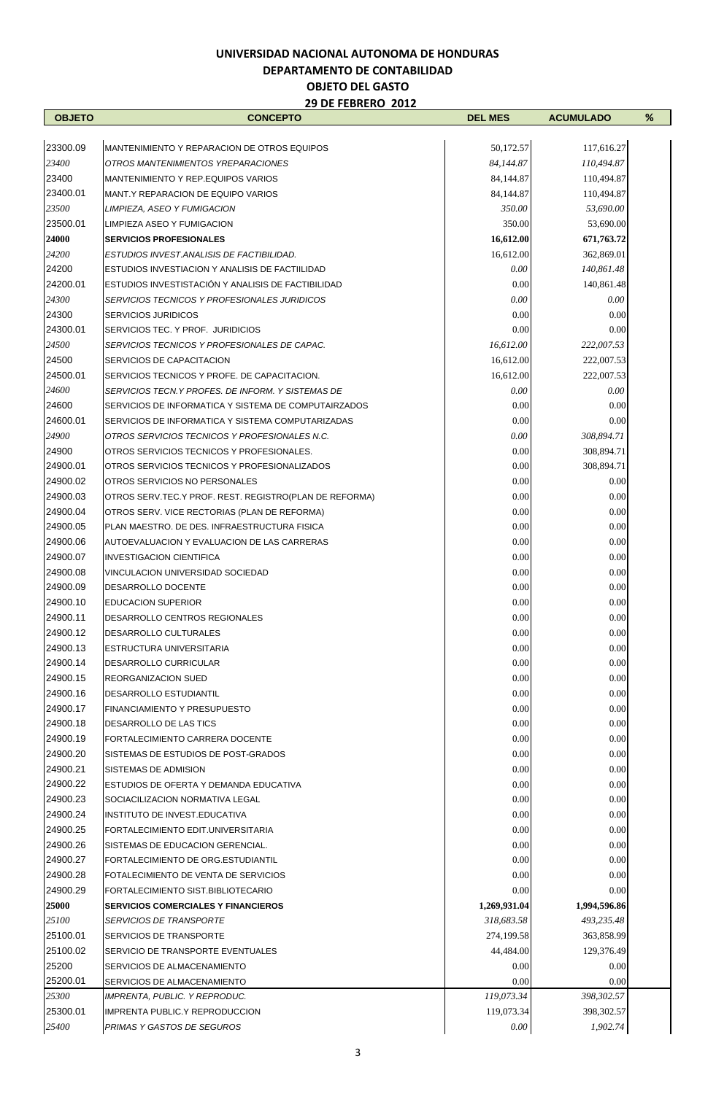| <b>OBJETO</b> | <b>CONCEPTO</b>                                           | <b>DEL MES</b> | <b>ACUMULADO</b> | % |
|---------------|-----------------------------------------------------------|----------------|------------------|---|
|               |                                                           |                |                  |   |
| 23300.09      | MANTENIMIENTO Y REPARACION DE OTROS EQUIPOS               | 50,172.57      | 117,616.27       |   |
| 23400         | OTROS MANTENIMIENTOS YREPARACIONES                        | 84,144.87      | 110,494.87       |   |
| 23400         | MANTENIMIENTO Y REP.EQUIPOS VARIOS                        | 84,144.87      | 110,494.87       |   |
| 23400.01      | MANT Y REPARACION DE EQUIPO VARIOS                        | 84,144.87      | 110,494.87       |   |
| 23500         | LIMPIEZA, ASEO Y FUMIGACION                               | 350.00         | 53,690.00        |   |
| 23500.01      | LIMPIEZA ASEO Y FUMIGACION                                | 350.00         | 53,690.00        |   |
| 24000         | <b>SERVICIOS PROFESIONALES</b>                            | 16,612.00      | 671,763.72       |   |
| 24200         | ESTUDIOS INVEST.ANALISIS DE FACTIBILIDAD.                 | 16.612.00      | 362,869.01       |   |
| 24200         | ESTUDIOS INVESTIACION Y ANALISIS DE FACTILIDAD            | 0.00           | 140,861.48       |   |
| 24200.01      | ESTUDIOS INVESTISTACIÓN Y ANALISIS DE FACTIBILIDAD        | 0.00           | 140,861.48       |   |
| 24300         | SERVICIOS TECNICOS Y PROFESIONALES JURIDICOS              | 0.00           | 0.00             |   |
| 24300         | <b>SERVICIOS JURIDICOS</b>                                | 0.00           | 0.00             |   |
| 24300.01      | SERVICIOS TEC. Y PROF. JURIDICIOS                         | 0.00           | 0.00             |   |
| 24500         | SERVICIOS TECNICOS Y PROFESIONALES DE CAPAC.              | 16,612.00      | 222,007.53       |   |
| 24500         | SERVICIOS DE CAPACITACION                                 | 16,612.00      | 222,007.53       |   |
| 24500.01      | SERVICIOS TECNICOS Y PROFE. DE CAPACITACION.              | 16,612.00      | 222,007.53       |   |
| 24600         | SERVICIOS TECN.Y PROFES. DE INFORM. Y SISTEMAS DE         | 0.00           | 0.00             |   |
| 24600         | SERVICIOS DE INFORMATICA Y SISTEMA DE COMPUTAIRZADOS      | 0.00           | 0.00             |   |
| 24600.01      | SERVICIOS DE INFORMATICA Y SISTEMA COMPUTARIZADAS         | 0.00           | 0.00             |   |
| 24900         | OTROS SERVICIOS TECNICOS Y PROFESIONALES N.C.             | 0.00           | 308,894.71       |   |
| 24900         | OTROS SERVICIOS TECNICOS Y PROFESIONALES.                 | 0.00           | 308,894.71       |   |
| 24900.01      | OTROS SERVICIOS TECNICOS Y PROFESIONALIZADOS              | 0.00           | 308,894.71       |   |
| 24900.02      | OTROS SERVICIOS NO PERSONALES                             | 0.00           | 0.00             |   |
| 24900.03      | OTROS SERV. TEC. Y PROF. REST. REGISTRO (PLAN DE REFORMA) | 0.00           | 0.00             |   |
| 24900.04      | OTROS SERV. VICE RECTORIAS (PLAN DE REFORMA)              | 0.00           | 0.00             |   |
| 24900.05      | PLAN MAESTRO. DE DES. INFRAESTRUCTURA FISICA              | 0.00           | 0.00             |   |
| 24900.06      | AUTOEVALUACION Y EVALUACION DE LAS CARRERAS               | 0.00           | 0.00             |   |
| 24900.07      | <b>INVESTIGACION CIENTIFICA</b>                           | 0.00           | 0.00             |   |
| 24900.08      | VINCULACION UNIVERSIDAD SOCIEDAD                          | 0.00           | 0.00             |   |
| 24900.09      | DESARROLLO DOCENTE                                        | 0.00           | 0.00             |   |
| 24900.10      | <b>EDUCACION SUPERIOR</b>                                 | 0.00           | 0.00             |   |
| 24900.11      | DESARROLLO CENTROS REGIONALES                             | 0.00           | 0.00             |   |
| 24900.12      | DESARROLLO CULTURALES                                     | $0.00\,$       | $0.00\,$         |   |
| 24900.13      | <b>ESTRUCTURA UNIVERSITARIA</b>                           | 0.00           | 0.00             |   |
| 24900.14      | <b>DESARROLLO CURRICULAR</b>                              | 0.00           | 0.00             |   |
| 24900.15      | REORGANIZACION SUED                                       | 0.00           | 0.00             |   |
| 24900.16      | <b>DESARROLLO ESTUDIANTIL</b>                             | 0.00           | 0.00             |   |
| 24900.17      | <b>FINANCIAMIENTO Y PRESUPUESTO</b>                       | 0.00           | 0.00             |   |
| 24900.18      | <b>DESARROLLO DE LAS TICS</b>                             | 0.00           | 0.00             |   |
| 24900.19      | FORTALECIMIENTO CARRERA DOCENTE                           | 0.00           | 0.00             |   |
| 24900.20      | SISTEMAS DE ESTUDIOS DE POST-GRADOS                       | 0.00           | 0.00             |   |
| 24900.21      | SISTEMAS DE ADMISION                                      | 0.00           | 0.00             |   |
| 24900.22      | ESTUDIOS DE OFERTA Y DEMANDA EDUCATIVA                    | 0.00           | 0.00             |   |
| 24900.23      | SOCIACILIZACION NORMATIVA LEGAL                           | 0.00           | 0.00             |   |
| 24900.24      | INSTITUTO DE INVEST.EDUCATIVA                             | 0.00           | 0.00             |   |
| 24900.25      | FORTALECIMIENTO EDIT.UNIVERSITARIA                        | 0.00           | 0.00             |   |
| 24900.26      | SISTEMAS DE EDUCACION GERENCIAL.                          | 0.00           | 0.00             |   |
| 24900.27      | FORTALECIMIENTO DE ORG.ESTUDIANTIL                        | 0.00           | 0.00             |   |
| 24900.28      | FOTALECIMIENTO DE VENTA DE SERVICIOS                      | 0.00           | 0.00             |   |
| 24900.29      | FORTALECIMIENTO SIST.BIBLIOTECARIO                        | 0.00           | 0.00             |   |
| 25000         | <b>SERVICIOS COMERCIALES Y FINANCIEROS</b>                | 1,269,931.04   | 1,994,596.86     |   |
| 25100         | <b>SERVICIOS DE TRANSPORTE</b>                            | 318,683.58     | 493,235.48       |   |
| 25100.01      | SERVICIOS DE TRANSPORTE                                   | 274,199.58     | 363,858.99       |   |
| 25100.02      | SERVICIO DE TRANSPORTE EVENTUALES                         | 44,484.00      | 129,376.49       |   |
| 25200         | SERVICIOS DE ALMACENAMIENTO                               | 0.00           | 0.00             |   |
| 25200.01      | SERVICIOS DE ALMACENAMIENTO                               | 0.00           | 0.00             |   |
| 25300         | IMPRENTA, PUBLIC. Y REPRODUC.                             | 119,073.34     | 398,302.57       |   |
| 25300.01      | <b>IMPRENTA PUBLIC.Y REPRODUCCION</b>                     | 119,073.34     | 398,302.57       |   |
| 25400         | PRIMAS Y GASTOS DE SEGUROS                                | 0.00           | 1,902.74         |   |
|               |                                                           |                |                  |   |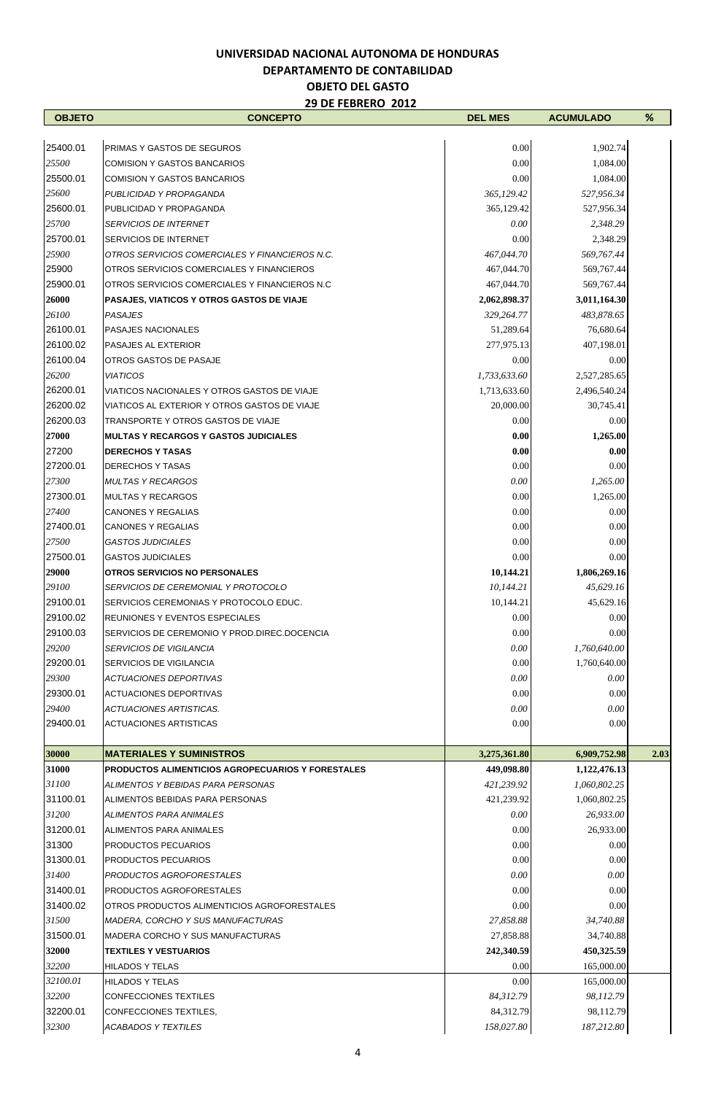| <b>OBJETO</b>        | <b>CONCEPTO</b>                                                                  | <b>DEL MES</b>          | <b>ACUMULADO</b>        | %    |
|----------------------|----------------------------------------------------------------------------------|-------------------------|-------------------------|------|
|                      |                                                                                  |                         |                         |      |
| 25400.01             | <b>PRIMAS Y GASTOS DE SEGUROS</b>                                                | 0.00                    | 1,902.74                |      |
| 25500                | <b>COMISION Y GASTOS BANCARIOS</b><br><b>COMISION Y GASTOS BANCARIOS</b>         | $0.00\,$                | 1,084.00                |      |
| 25500.01<br>25600    | PUBLICIDAD Y PROPAGANDA                                                          | 0.00<br>365,129.42      | 1,084.00<br>527,956.34  |      |
| 25600.01             | PUBLICIDAD Y PROPAGANDA                                                          | 365,129.42              | 527,956.34              |      |
| 25700                | <i>SERVICIOS DE INTERNET</i>                                                     | 0.00                    | 2,348.29                |      |
| 25700.01             | <b>SERVICIOS DE INTERNET</b>                                                     | 0.00                    | 2,348.29                |      |
| 25900                | OTROS SERVICIOS COMERCIALES Y FINANCIEROS N.C.                                   | 467,044.70              | 569,767.44              |      |
| 25900                | OTROS SERVICIOS COMERCIALES Y FINANCIEROS                                        | 467,044.70              | 569,767.44              |      |
| 25900.01             | OTROS SERVICIOS COMERCIALES Y FINANCIEROS N.C.                                   | 467,044.70              | 569,767.44              |      |
| 26000                | PASAJES, VIATICOS Y OTROS GASTOS DE VIAJE                                        | 2,062,898.37            | 3,011,164.30            |      |
| 26100                | PASAJES                                                                          | 329,264.77              | 483,878.65              |      |
| 26100.01             | <b>PASAJES NACIONALES</b>                                                        | 51,289.64               | 76,680.64               |      |
| 26100.02             | PASAJES AL EXTERIOR                                                              | 277,975.13              | 407,198.01              |      |
| 26100.04             | OTROS GASTOS DE PASAJE                                                           | 0.00                    | 0.00                    |      |
| 26200                | <b>VIATICOS</b>                                                                  | 1,733,633.60            | 2,527,285.65            |      |
| 26200.01             | VIATICOS NACIONALES Y OTROS GASTOS DE VIAJE                                      | 1,713,633.60            | 2,496,540.24            |      |
| 26200.02             | VIATICOS AL EXTERIOR Y OTROS GASTOS DE VIAJE                                     | 20,000.00               | 30,745.41               |      |
| 26200.03             | TRANSPORTE Y OTROS GASTOS DE VIAJE                                               | 0.00                    | 0.00                    |      |
| 27000                | <b>MULTAS Y RECARGOS Y GASTOS JUDICIALES</b>                                     | 0.00                    | 1,265.00                |      |
| 27200                | <b>DERECHOS Y TASAS</b>                                                          | 0.00                    | 0.00                    |      |
| 27200.01             | <b>DERECHOS Y TASAS</b>                                                          | 0.00                    | 0.00                    |      |
| 27300                | <b>MULTAS Y RECARGOS</b>                                                         | 0.00                    | 1,265.00                |      |
| 27300.01             | <b>MULTAS Y RECARGOS</b>                                                         | 0.00                    | 1,265.00                |      |
| 27400                | <b>CANONES Y REGALIAS</b>                                                        | 0.00                    | 0.00                    |      |
| 27400.01             | <b>CANONES Y REGALIAS</b>                                                        | 0.00                    | 0.00                    |      |
| 27500                | <i><b>GASTOS JUDICIALES</b></i>                                                  | 0.00                    | 0.00                    |      |
| 27500.01             | <b>GASTOS JUDICIALES</b>                                                         | 0.00                    | 0.00                    |      |
| 29000                | <b>OTROS SERVICIOS NO PERSONALES</b>                                             | 10,144.21               | 1,806,269.16            |      |
| 29100                | SERVICIOS DE CEREMONIAL Y PROTOCOLO                                              | 10,144.21               | 45,629.16               |      |
| 29100.01<br>29100.02 | SERVICIOS CEREMONIAS Y PROTOCOLO EDUC.                                           | 10,144.21               | 45,629.16               |      |
| 29100.03             | REUNIONES Y EVENTOS ESPECIALES<br>SERVICIOS DE CEREMONIO Y PROD.DIREC.DOCENCIA   | 0.00<br>0.00            | 0.00<br>0.00            |      |
| 29200                | SERVICIOS DE VIGILANCIA                                                          | 0.00                    | 1,760,640.00            |      |
| 29200.01             | SERVICIOS DE VIGILANCIA                                                          | 0.00                    | 1,760,640.00            |      |
| 29300                | <i>ACTUACIONES DEPORTIVAS</i>                                                    | 0.00                    | 0.00                    |      |
| 29300.01             | <b>ACTUACIONES DEPORTIVAS</b>                                                    | 0.00                    | 0.00                    |      |
| 29400                | ACTUACIONES ARTISTICAS.                                                          | 0.00                    | 0.00                    |      |
| 29400.01             | ACTUACIONES ARTISTICAS                                                           | 0.00                    | 0.00                    |      |
|                      |                                                                                  |                         |                         |      |
| 30000                | <b>MATERIALES Y SUMINISTROS</b>                                                  | 3,275,361.80            | 6,909,752.98            | 2.03 |
| 31000                | PRODUCTOS ALIMENTICIOS AGROPECUARIOS Y FORESTALES                                | 449,098.80              | 1,122,476.13            |      |
| 31100                | ALIMENTOS Y BEBIDAS PARA PERSONAS                                                | 421,239.92              | 1,060,802.25            |      |
| 31100.01             | ALIMENTOS BEBIDAS PARA PERSONAS                                                  | 421,239.92              | 1,060,802.25            |      |
| 31200                | ALIMENTOS PARA ANIMALES                                                          | 0.00                    | 26,933.00               |      |
| 31200.01             | ALIMENTOS PARA ANIMALES                                                          | 0.00                    | 26,933.00               |      |
| 31300                | <b>PRODUCTOS PECUARIOS</b>                                                       | 0.00                    | 0.00                    |      |
| 31300.01             | <b>PRODUCTOS PECUARIOS</b>                                                       | 0.00                    | 0.00                    |      |
| 31400                | PRODUCTOS AGROFORESTALES                                                         | 0.00                    | 0.00                    |      |
| 31400.01             | <b>PRODUCTOS AGROFORESTALES</b>                                                  | 0.00                    | 0.00                    |      |
| 31400.02<br>31500    | OTROS PRODUCTOS ALIMENTICIOS AGROFORESTALES<br>MADERA, CORCHO Y SUS MANUFACTURAS | 0.00<br>27,858.88       | 0.00<br>34,740.88       |      |
| 31500.01             |                                                                                  |                         |                         |      |
| 32000                | <b>MADERA CORCHO Y SUS MANUFACTURAS</b><br><b>TEXTILES Y VESTUARIOS</b>          | 27,858.88<br>242,340.59 | 34,740.88<br>450,325.59 |      |
| 32200                | <b>HILADOS Y TELAS</b>                                                           | 0.00                    | 165,000.00              |      |
| 32100.01             | <b>HILADOS Y TELAS</b>                                                           | 0.00                    | 165,000.00              |      |
| 32200                | CONFECCIONES TEXTILES                                                            | 84,312.79               | 98,112.79               |      |
| 32200.01             | CONFECCIONES TEXTILES,                                                           | 84,312.79               | 98,112.79               |      |
| 32300                | <b>ACABADOS Y TEXTILES</b>                                                       | 158,027.80              | 187,212.80              |      |
|                      |                                                                                  |                         |                         |      |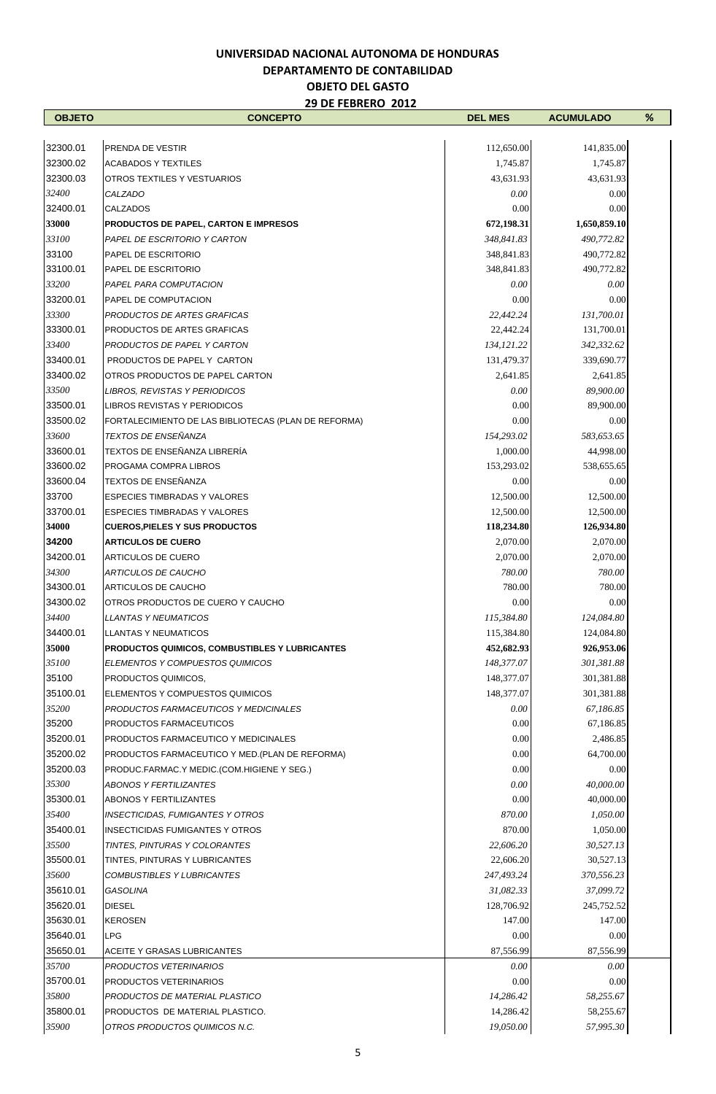| <b>OBJETO</b> | <b>CONCEPTO</b>                                      | <b>DEL MES</b> | <b>ACUMULADO</b> | % |
|---------------|------------------------------------------------------|----------------|------------------|---|
|               |                                                      |                |                  |   |
| 32300.01      | PRENDA DE VESTIR                                     | 112,650.00     | 141,835.00       |   |
| 32300.02      | <b>ACABADOS Y TEXTILES</b>                           | 1,745.87       | 1,745.87         |   |
| 32300.03      | <b>OTROS TEXTILES Y VESTUARIOS</b>                   | 43,631.93      | 43,631.93        |   |
| 32400         | CALZADO                                              | 0.00           | 0.00             |   |
| 32400.01      | <b>CALZADOS</b>                                      | 0.00           | 0.00             |   |
| 33000         | PRODUCTOS DE PAPEL, CARTON E IMPRESOS                | 672,198.31     | 1,650,859.10     |   |
| 33100         | PAPEL DE ESCRITORIO Y CARTON                         | 348,841.83     | 490,772.82       |   |
| 33100         | <b>PAPEL DE ESCRITORIO</b>                           | 348,841.83     | 490,772.82       |   |
| 33100.01      | <b>PAPEL DE ESCRITORIO</b>                           | 348,841.83     | 490,772.82       |   |
| 33200         | PAPEL PARA COMPUTACION                               | 0.00           | 0.00             |   |
| 33200.01      | <b>PAPEL DE COMPUTACION</b>                          | 0.00           | 0.00             |   |
| 33300         | PRODUCTOS DE ARTES GRAFICAS                          | 22,442.24      | 131,700.01       |   |
| 33300.01      | PRODUCTOS DE ARTES GRAFICAS                          | 22,442.24      | 131,700.01       |   |
| 33400         | PRODUCTOS DE PAPEL Y CARTON                          | 134, 121.22    | 342,332.62       |   |
| 33400.01      | PRODUCTOS DE PAPEL Y CARTON                          | 131,479.37     | 339,690.77       |   |
| 33400.02      | OTROS PRODUCTOS DE PAPEL CARTON                      | 2,641.85       | 2,641.85         |   |
| 33500         | LIBROS, REVISTAS Y PERIODICOS                        | 0.00           | 89,900.00        |   |
| 33500.01      | LIBROS REVISTAS Y PERIODICOS                         | 0.00           | 89,900.00        |   |
| 33500.02      | FORTALECIMIENTO DE LAS BIBLIOTECAS (PLAN DE REFORMA) | 0.00           | 0.00             |   |
| 33600         | <b>TEXTOS DE ENSEÑANZA</b>                           | 154.293.02     | 583,653.65       |   |
| 33600.01      | TEXTOS DE ENSEÑANZA LIBRERÍA                         | 1,000.00       | 44,998.00        |   |
| 33600.02      | PROGAMA COMPRA LIBROS                                | 153,293.02     | 538,655.65       |   |
| 33600.04      | TEXTOS DE ENSEÑANZA                                  | 0.00           | 0.00             |   |
| 33700         | <b>ESPECIES TIMBRADAS Y VALORES</b>                  | 12,500.00      | 12,500.00        |   |
| 33700.01      | <b>ESPECIES TIMBRADAS Y VALORES</b>                  | 12,500.00      | 12,500.00        |   |
| 34000         | <b>CUEROS, PIELES Y SUS PRODUCTOS</b>                | 118,234.80     | 126,934.80       |   |
| 34200         | <b>ARTICULOS DE CUERO</b>                            | 2,070.00       | 2,070.00         |   |
| 34200.01      | <b>ARTICULOS DE CUERO</b>                            | 2,070.00       | 2,070.00         |   |
| 34300         | <b>ARTICULOS DE CAUCHO</b>                           | 780.00         | 780.00           |   |
| 34300.01      | ARTICULOS DE CAUCHO                                  | 780.00         | 780.00           |   |
| 34300.02      | OTROS PRODUCTOS DE CUERO Y CAUCHO                    | 0.00           | 0.00             |   |
| 34400         | <b>LLANTAS Y NEUMATICOS</b>                          | 115,384.80     | 124,084.80       |   |
| 34400.01      | <b>LLANTAS Y NEUMATICOS</b>                          | 115,384.80     | 124,084.80       |   |
| 35000         | PRODUCTOS QUIMICOS, COMBUSTIBLES Y LUBRICANTES       | 452,682.93     | 926,953.06       |   |
| 35100         | ELEMENTOS Y COMPUESTOS QUIMICOS                      | 148,377.07     | 301,381.88       |   |
| 35100         | <b>PRODUCTOS QUIMICOS,</b>                           | 148,377.07     | 301,381.88       |   |
| 35100.01      |                                                      | 148,377.07     |                  |   |
| 35200         | ELEMENTOS Y COMPUESTOS QUIMICOS                      |                | 301,381.88       |   |
|               | PRODUCTOS FARMACEUTICOS Y MEDICINALES                | 0.00           | 67,186.85        |   |
| 35200         | <b>PRODUCTOS FARMACEUTICOS</b>                       | 0.00           | 67,186.85        |   |
| 35200.01      | <b>PRODUCTOS FARMACEUTICO Y MEDICINALES</b>          | 0.00           | 2,486.85         |   |
| 35200.02      | PRODUCTOS FARMACEUTICO Y MED. (PLAN DE REFORMA)      | 0.00           | 64,700.00        |   |
| 35200.03      | PRODUC.FARMAC.Y MEDIC.(COM.HIGIENE Y SEG.)           | 0.00           | 0.00             |   |
| 35300         | <b>ABONOS Y FERTILIZANTES</b>                        | $0.00\,$       | 40,000.00        |   |
| 35300.01      | <b>ABONOS Y FERTILIZANTES</b>                        | 0.00           | 40,000.00        |   |
| 35400         | <b>INSECTICIDAS, FUMIGANTES Y OTROS</b>              | 870.00         | 1,050.00         |   |
| 35400.01      | <b>INSECTICIDAS FUMIGANTES Y OTROS</b>               | 870.00         | 1,050.00         |   |
| 35500         | TINTES, PINTURAS Y COLORANTES                        | 22,606.20      | 30,527.13        |   |
| 35500.01      | TINTES, PINTURAS Y LUBRICANTES                       | 22,606.20      | 30,527.13        |   |
| 35600         | <b>COMBUSTIBLES Y LUBRICANTES</b>                    | 247,493.24     | 370,556.23       |   |
| 35610.01      | GASOLINA                                             | 31,082.33      | 37,099.72        |   |
| 35620.01      | <b>DIESEL</b>                                        | 128,706.92     | 245,752.52       |   |
| 35630.01      | <b>KEROSEN</b>                                       | 147.00         | 147.00           |   |
| 35640.01      | <b>LPG</b>                                           | 0.00           | 0.00             |   |
| 35650.01      | ACEITE Y GRASAS LUBRICANTES                          | 87,556.99      | 87,556.99        |   |
| 35700         | PRODUCTOS VETERINARIOS                               | 0.00           | $0.00\,$         |   |
| 35700.01      | PRODUCTOS VETERINARIOS                               | 0.00           | 0.00             |   |
| 35800         | PRODUCTOS DE MATERIAL PLASTICO                       | 14,286.42      | 58,255.67        |   |
| 35800.01      | PRODUCTOS DE MATERIAL PLASTICO.                      | 14,286.42      | 58,255.67        |   |
| 35900         | OTROS PRODUCTOS QUIMICOS N.C.                        | 19,050.00      | 57,995.30        |   |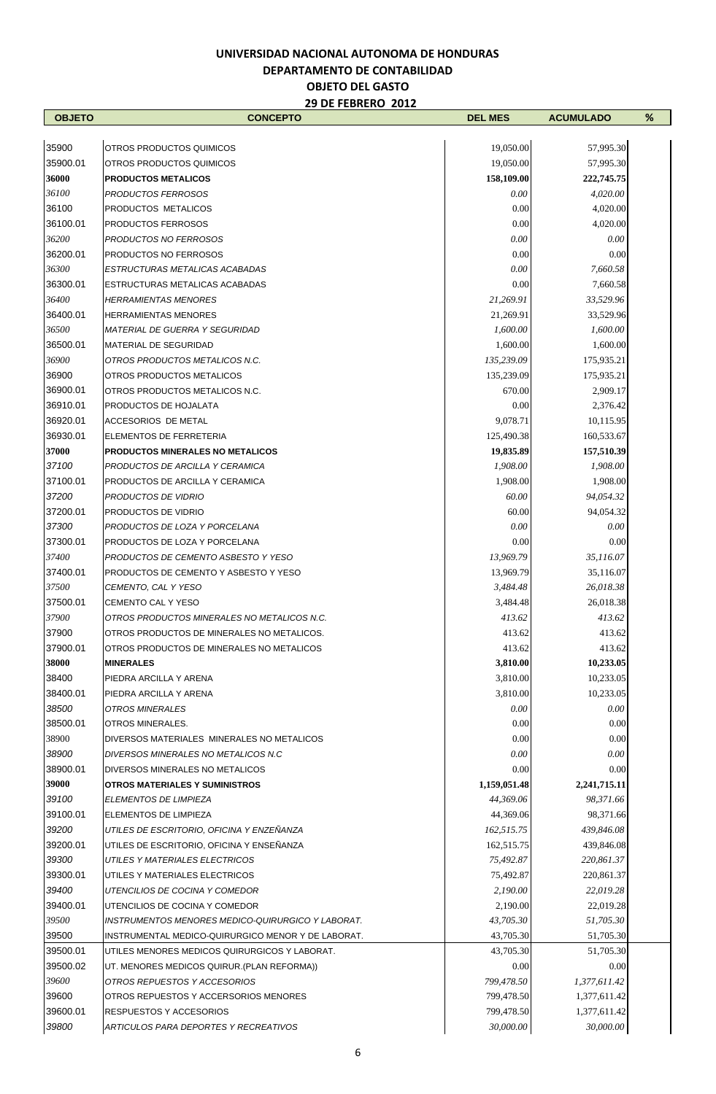$\mathbf{r}$ 

| <b>OBJETO</b>  | <b>CONCEPTO</b>                                    | <b>DEL MES</b>       | <b>ACUMULADO</b>       | % |
|----------------|----------------------------------------------------|----------------------|------------------------|---|
|                |                                                    |                      |                        |   |
| 35900          | OTROS PRODUCTOS QUIMICOS                           | 19,050.00            | 57,995.30              |   |
| 35900.01       | OTROS PRODUCTOS QUIMICOS                           | 19,050.00            | 57,995.30              |   |
| 36000          | <b>PRODUCTOS METALICOS</b>                         | 158,109.00           | 222,745.75             |   |
| 36100<br>36100 | PRODUCTOS FERROSOS                                 | 0.00                 | 4,020.00               |   |
| 36100.01       | PRODUCTOS METALICOS<br>PRODUCTOS FERROSOS          | 0.00                 | 4,020.00               |   |
| 36200          | PRODUCTOS NO FERROSOS                              | 0.00<br>0.00         | 4,020.00<br>0.00       |   |
| 36200.01       | PRODUCTOS NO FERROSOS                              | 0.00                 | 0.00                   |   |
| 36300          | ESTRUCTURAS METALICAS ACABADAS                     | 0.00                 | 7,660.58               |   |
| 36300.01       | ESTRUCTURAS METALICAS ACABADAS                     | 0.00                 | 7,660.58               |   |
| 36400          | <b>HERRAMIENTAS MENORES</b>                        | 21,269.91            | 33,529.96              |   |
| 36400.01       | <b>HERRAMIENTAS MENORES</b>                        | 21,269.91            | 33,529.96              |   |
| 36500          | <b>MATERIAL DE GUERRA Y SEGURIDAD</b>              | 1,600.00             | 1,600.00               |   |
| 36500.01       | <b>MATERIAL DE SEGURIDAD</b>                       | 1,600.00             | 1,600.00               |   |
| 36900          | OTROS PRODUCTOS METALICOS N.C.                     | 135,239.09           | 175,935.21             |   |
| 36900          | OTROS PRODUCTOS METALICOS                          | 135,239.09           | 175,935.21             |   |
| 36900.01       | OTROS PRODUCTOS METALICOS N.C.                     | 670.00               | 2,909.17               |   |
| 36910.01       | PRODUCTOS DE HOJALATA                              | 0.00                 | 2,376.42               |   |
| 36920.01       | ACCESORIOS DE METAL                                | 9,078.71             | 10,115.95              |   |
| 36930.01       | ELEMENTOS DE FERRETERIA                            | 125,490.38           | 160,533.67             |   |
| 37000          | PRODUCTOS MINERALES NO METALICOS                   | 19,835.89            | 157,510.39             |   |
| 37100          | PRODUCTOS DE ARCILLA Y CERAMICA                    | 1,908.00             | 1,908.00               |   |
| 37100.01       | PRODUCTOS DE ARCILLA Y CERAMICA                    | 1,908.00             | 1,908.00               |   |
| 37200          | PRODUCTOS DE VIDRIO                                | 60.00                | 94,054.32              |   |
| 37200.01       | PRODUCTOS DE VIDRIO                                | 60.00                | 94,054.32              |   |
| 37300          | PRODUCTOS DE LOZA Y PORCELANA                      | 0.00                 | 0.00                   |   |
| 37300.01       | PRODUCTOS DE LOZA Y PORCELANA                      | 0.00                 | 0.00                   |   |
| 37400          | PRODUCTOS DE CEMENTO ASBESTO Y YESO                | 13,969.79            | 35,116.07              |   |
| 37400.01       | PRODUCTOS DE CEMENTO Y ASBESTO Y YESO              | 13,969.79            | 35,116.07              |   |
| 37500          | CEMENTO, CAL Y YESO                                | 3,484.48             | 26,018.38              |   |
| 37500.01       | CEMENTO CAL Y YESO                                 | 3,484.48             | 26,018.38              |   |
| 37900          | OTROS PRODUCTOS MINERALES NO METALICOS N.C.        | 413.62               | 413.62                 |   |
| 37900          | OTROS PRODUCTOS DE MINERALES NO METALICOS.         | 413.62               | 413.62                 |   |
| 37900.01       | OTROS PRODUCTOS DE MINERALES NO METALICOS          | 413.62               | 413.62                 |   |
| 38000<br>38400 | <b>MINERALES</b><br>PIEDRA ARCILLA Y ARENA         | 3,810.00<br>3,810.00 | 10,233.05<br>10,233.05 |   |
| 38400.01       | PIEDRA ARCILLA Y ARENA                             | 3,810.00             | 10,233.05              |   |
| 38500          | OTROS MINERALES                                    | 0.00                 | 0.00                   |   |
| 38500.01       | <b>OTROS MINERALES.</b>                            | 0.00                 | 0.00                   |   |
| 38900          | DIVERSOS MATERIALES MINERALES NO METALICOS         | 0.00                 | 0.00                   |   |
| 38900          | DIVERSOS MINERALES NO METALICOS N.C                | 0.00                 | 0.00                   |   |
| 38900.01       | DIVERSOS MINERALES NO METALICOS                    | 0.00                 | 0.00                   |   |
| 39000          | <b>OTROS MATERIALES Y SUMINISTROS</b>              | 1,159,051.48         | 2,241,715.11           |   |
| 39100          | ELEMENTOS DE LIMPIEZA                              | 44,369.06            | 98,371.66              |   |
| 39100.01       | ELEMENTOS DE LIMPIEZA                              | 44,369.06            | 98,371.66              |   |
| 39200          | UTILES DE ESCRITORIO, OFICINA Y ENZEÑANZA          | 162,515.75           | 439,846.08             |   |
| 39200.01       | UTILES DE ESCRITORIO, OFICINA Y ENSEÑANZA          | 162,515.75           | 439,846.08             |   |
| 39300          | UTILES Y MATERIALES ELECTRICOS                     | 75,492.87            | 220,861.37             |   |
| 39300.01       | UTILES Y MATERIALES ELECTRICOS                     | 75,492.87            | 220,861.37             |   |
| 39400          | UTENCILIOS DE COCINA Y COMEDOR                     | 2,190.00             | 22,019.28              |   |
| 39400.01       | UTENCILIOS DE COCINA Y COMEDOR                     | 2,190.00             | 22,019.28              |   |
| 39500          | INSTRUMENTOS MENORES MEDICO-QUIRURGICO Y LABORAT.  | 43,705.30            | 51,705.30              |   |
| 39500          | INSTRUMENTAL MEDICO-QUIRURGICO MENOR Y DE LABORAT. | 43,705.30            | 51,705.30              |   |
| 39500.01       | UTILES MENORES MEDICOS QUIRURGICOS Y LABORAT.      | 43,705.30            | 51,705.30              |   |
| 39500.02       | UT. MENORES MEDICOS QUIRUR. (PLAN REFORMA))        | 0.00                 | 0.00                   |   |
| 39600          | OTROS REPUESTOS Y ACCESORIOS                       | 799,478.50           | 1,377,611.42           |   |
| 39600          | OTROS REPUESTOS Y ACCERSORIOS MENORES              | 799,478.50           | 1,377,611.42           |   |
| 39600.01       | <b>RESPUESTOS Y ACCESORIOS</b>                     | 799,478.50           | 1,377,611.42           |   |
| 39800          | ARTICULOS PARA DEPORTES Y RECREATIVOS              | 30,000.00            | 30,000.00              |   |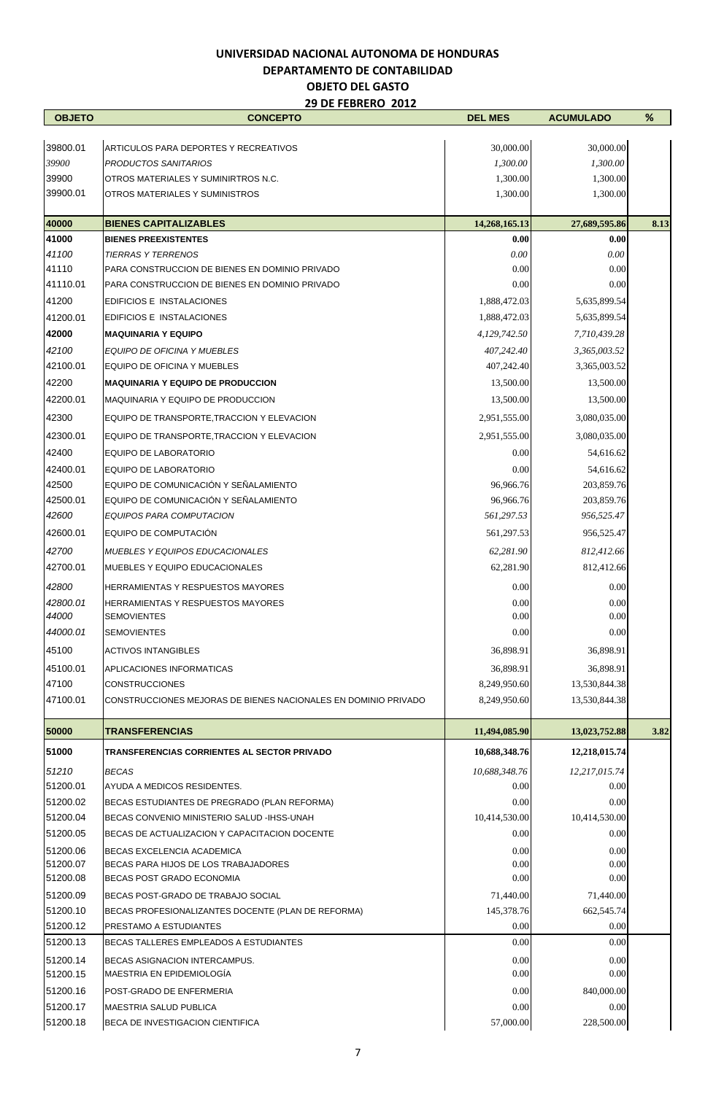| <b>OBJETO</b>     | <b>CONCEPTO</b>                                                       | <b>DEL MES</b>         | <b>ACUMULADO</b>        | %    |
|-------------------|-----------------------------------------------------------------------|------------------------|-------------------------|------|
|                   |                                                                       |                        |                         |      |
| 39800.01          | <b>ARTICULOS PARA DEPORTES Y RECREATIVOS</b>                          | 30,000.00              | 30,000.00               |      |
| 39900             | PRODUCTOS SANITARIOS                                                  | 1,300.00               | 1,300.00                |      |
| 39900             | OTROS MATERIALES Y SUMINIRTROS N.C.                                   | 1,300.00               | 1,300.00                |      |
| 39900.01          | OTROS MATERIALES Y SUMINISTROS                                        | 1,300.00               | 1,300.00                |      |
| 40000             | <b>BIENES CAPITALIZABLES</b>                                          | 14,268,165.13          | 27,689,595.86           | 8.13 |
| 41000             | <b>BIENES PREEXISTENTES</b>                                           | 0.00                   | 0.00                    |      |
| 41100             | <b>TIERRAS Y TERRENOS</b>                                             | 0.00                   | 0.00                    |      |
| 41110             | PARA CONSTRUCCION DE BIENES EN DOMINIO PRIVADO                        | 0.00                   | 0.00                    |      |
| 41110.01          | PARA CONSTRUCCION DE BIENES EN DOMINIO PRIVADO                        | 0.00                   | 0.00                    |      |
| 41200             | EDIFICIOS E INSTALACIONES                                             | 1,888,472.03           | 5,635,899.54            |      |
| 41200.01          | EDIFICIOS E INSTALACIONES                                             | 1,888,472.03           | 5,635,899.54            |      |
| 42000             | <b>MAQUINARIA Y EQUIPO</b>                                            | 4,129,742.50           | 7,710,439.28            |      |
| 42100             | EQUIPO DE OFICINA Y MUEBLES                                           | 407,242.40             | 3,365,003.52            |      |
| 42100.01          | EQUIPO DE OFICINA Y MUEBLES                                           | 407,242.40             | 3,365,003.52            |      |
| 42200             | <b>MAQUINARIA Y EQUIPO DE PRODUCCION</b>                              | 13,500.00              | 13,500.00               |      |
| 42200.01          | MAQUINARIA Y EQUIPO DE PRODUCCION                                     | 13,500.00              | 13,500.00               |      |
| 42300             | EQUIPO DE TRANSPORTE, TRACCION Y ELEVACION                            | 2,951,555.00           | 3,080,035.00            |      |
| 42300.01          | EQUIPO DE TRANSPORTE, TRACCION Y ELEVACION                            | 2,951,555.00           | 3,080,035.00            |      |
| 42400             | EQUIPO DE LABORATORIO                                                 | 0.00                   | 54,616.62               |      |
|                   |                                                                       |                        |                         |      |
| 42400.01<br>42500 | <b>EQUIPO DE LABORATORIO</b><br>EQUIPO DE COMUNICACIÓN Y SEÑALAMIENTO | 0.00<br>96,966.76      | 54,616.62<br>203,859.76 |      |
| 42500.01          | EQUIPO DE COMUNICACIÓN Y SEÑALAMIENTO                                 | 96,966.76              | 203,859.76              |      |
| 42600             | EQUIPOS PARA COMPUTACION                                              | 561,297.53             | 956,525.47              |      |
| 42600.01          | EQUIPO DE COMPUTACIÓN                                                 | 561,297.53             | 956,525.47              |      |
| 42700             |                                                                       |                        |                         |      |
| 42700.01          | MUEBLES Y EQUIPOS EDUCACIONALES<br>MUEBLES Y EQUIPO EDUCACIONALES     | 62,281.90<br>62,281.90 | 812,412.66              |      |
|                   |                                                                       |                        | 812,412.66              |      |
| 42800             | <b>HERRAMIENTAS Y RESPUESTOS MAYORES</b>                              | 0.00                   | 0.00                    |      |
| 42800.01<br>44000 | <b>HERRAMIENTAS Y RESPUESTOS MAYORES</b><br><b>SEMOVIENTES</b>        | 0.00<br>0.00           | 0.00<br>0.00            |      |
| 44000.01          | <b>SEMOVIENTES</b>                                                    | $0.00\,$               | $0.00\,$                |      |
|                   |                                                                       |                        |                         |      |
| 45100             | <b>ACTIVOS INTANGIBLES</b>                                            | 36,898.91              | 36,898.91               |      |
| 45100.01          | APLICACIONES INFORMATICAS                                             | 36,898.91              | 36,898.91               |      |
| 47100             | <b>CONSTRUCCIONES</b>                                                 | 8,249,950.60           | 13,530,844.38           |      |
| 47100.01          | CONSTRUCCIONES MEJORAS DE BIENES NACIONALES EN DOMINIO PRIVADO        | 8,249,950.60           | 13,530,844.38           |      |
| 50000             | <b>TRANSFERENCIAS</b>                                                 | 11,494,085.90          | 13,023,752.88           | 3.82 |
| 51000             | TRANSFERENCIAS CORRIENTES AL SECTOR PRIVADO                           | 10,688,348.76          | 12,218,015.74           |      |
| 51210             | <b>BECAS</b>                                                          | 10,688,348.76          | 12,217,015.74           |      |
| 51200.01          | AYUDA A MEDICOS RESIDENTES.                                           | 0.00                   | 0.00                    |      |
| 51200.02          | BECAS ESTUDIANTES DE PREGRADO (PLAN REFORMA)                          | 0.00                   | 0.00                    |      |
| 51200.04          | BECAS CONVENIO MINISTERIO SALUD -IHSS-UNAH                            | 10,414,530.00          | 10,414,530.00           |      |
| 51200.05          | BECAS DE ACTUALIZACION Y CAPACITACION DOCENTE                         | 0.00                   | 0.00                    |      |
| 51200.06          | BECAS EXCELENCIA ACADEMICA                                            | 0.00                   | 0.00                    |      |
| 51200.07          | BECAS PARA HIJOS DE LOS TRABAJADORES                                  | 0.00                   | 0.00                    |      |
| 51200.08          | BECAS POST GRADO ECONOMIA                                             | 0.00                   | 0.00                    |      |
| 51200.09          | BECAS POST-GRADO DE TRABAJO SOCIAL                                    | 71,440.00              | 71,440.00               |      |
| 51200.10          | BECAS PROFESIONALIZANTES DOCENTE (PLAN DE REFORMA)                    | 145,378.76             | 662,545.74              |      |
| 51200.12          | PRESTAMO A ESTUDIANTES                                                | 0.00                   | 0.00                    |      |
| 51200.13          | BECAS TALLERES EMPLEADOS A ESTUDIANTES                                | 0.00                   | 0.00                    |      |
| 51200.14          | BECAS ASIGNACION INTERCAMPUS.                                         | 0.00                   | 0.00                    |      |
| 51200.15          | MAESTRIA EN EPIDEMIOLOGÍA                                             | 0.00                   | 0.00                    |      |
| 51200.16          | POST-GRADO DE ENFERMERIA                                              | 0.00                   | 840,000.00              |      |
| 51200.17          | MAESTRIA SALUD PUBLICA                                                | 0.00                   | 0.00                    |      |
| 51200.18          | BECA DE INVESTIGACION CIENTIFICA                                      | 57,000.00              | 228,500.00              |      |